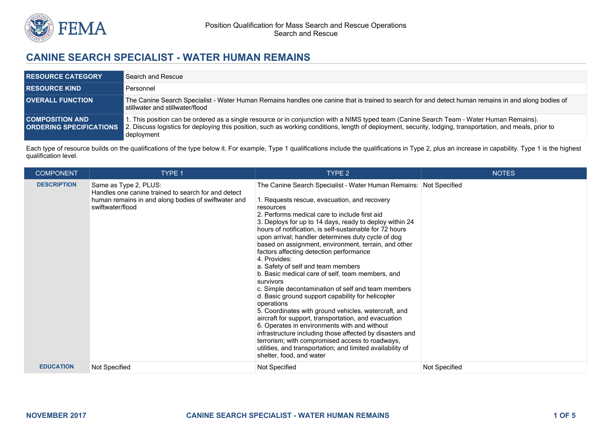

# **CANINE SEARCH SPECIALIST - WATER HUMAN REMAINS**

| <b>RESOURCE CATEGORY</b> | Search and Rescue                                                                                                                                                                                                                                                                                                                                    |
|--------------------------|------------------------------------------------------------------------------------------------------------------------------------------------------------------------------------------------------------------------------------------------------------------------------------------------------------------------------------------------------|
| <b>RESOURCE KIND</b>     | Personnel                                                                                                                                                                                                                                                                                                                                            |
| <b>OVERALL FUNCTION</b>  | The Canine Search Specialist - Water Human Remains handles one canine that is trained to search for and detect human remains in and along bodies of<br>stillwater and stillwater/flood                                                                                                                                                               |
| <b>COMPOSITION AND</b>   | 1. This position can be ordered as a single resource or in conjunction with a NIMS typed team (Canine Search Team - Water Human Remains).<br><b>ORDERING SPECIFICATIONS</b> 2. Discuss logistics for deploying this position, such as working conditions, length of deployment, security, lodging, transportation, and meals, prior to<br>deployment |

Each type of resource builds on the qualifications of the type below it. For example, Type 1 qualifications include the qualifications in Type 2, plus an increase in capability. Type 1 is the highest qualification level.

| <b>COMPONENT</b>   | <b>TYPE 1</b>                                                                                                                                           | TYPE 2                                                                                                                                                                                                                                                                                                                                                                                                                                                                                                                                                                                                                                                                                                                                                                                                                                                                                                                                                                                                                                                                                  | <b>NOTES</b>  |
|--------------------|---------------------------------------------------------------------------------------------------------------------------------------------------------|-----------------------------------------------------------------------------------------------------------------------------------------------------------------------------------------------------------------------------------------------------------------------------------------------------------------------------------------------------------------------------------------------------------------------------------------------------------------------------------------------------------------------------------------------------------------------------------------------------------------------------------------------------------------------------------------------------------------------------------------------------------------------------------------------------------------------------------------------------------------------------------------------------------------------------------------------------------------------------------------------------------------------------------------------------------------------------------------|---------------|
| <b>DESCRIPTION</b> | Same as Type 2, PLUS:<br>Handles one canine trained to search for and detect<br>human remains in and along bodies of swiftwater and<br>swiftwater/flood | The Canine Search Specialist - Water Human Remains: Not Specified<br>1. Requests rescue, evacuation, and recovery<br>resources<br>2. Performs medical care to include first aid<br>3. Deploys for up to 14 days, ready to deploy within 24<br>hours of notification, is self-sustainable for 72 hours<br>upon arrival; handler determines duty cycle of dog<br>based on assignment, environment, terrain, and other<br>factors affecting detection performance<br>4. Provides:<br>a. Safety of self and team members<br>b. Basic medical care of self, team members, and<br>survivors<br>c. Simple decontamination of self and team members<br>d. Basic ground support capability for helicopter<br>operations<br>5. Coordinates with ground vehicles, watercraft, and<br>aircraft for support, transportation, and evacuation<br>6. Operates in environments with and without<br>infrastructure including those affected by disasters and<br>terrorism; with compromised access to roadways,<br>utilities, and transportation; and limited availability of<br>shelter, food, and water |               |
| <b>EDUCATION</b>   | Not Specified                                                                                                                                           | Not Specified                                                                                                                                                                                                                                                                                                                                                                                                                                                                                                                                                                                                                                                                                                                                                                                                                                                                                                                                                                                                                                                                           | Not Specified |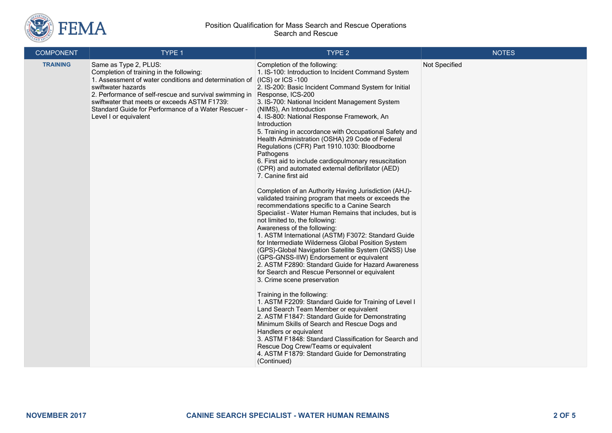

#### Position Qualification for Mass Search and Rescue Operations Search and Rescue

| <b>COMPONENT</b> | TYPE 1                                                                                                                                                                                                                                                                                                                                      | TYPE <sub>2</sub>                                                                                                                                                                                                                                                                                                                                                                                                                                                                                                                                                                                                                                                                                                                                                                                                                                                                                                                                                                                                                                                                                                                                                                                                                                                                                                                                                                                                                                                                                                                                                                                                                                                                                                            | <b>NOTES</b>  |
|------------------|---------------------------------------------------------------------------------------------------------------------------------------------------------------------------------------------------------------------------------------------------------------------------------------------------------------------------------------------|------------------------------------------------------------------------------------------------------------------------------------------------------------------------------------------------------------------------------------------------------------------------------------------------------------------------------------------------------------------------------------------------------------------------------------------------------------------------------------------------------------------------------------------------------------------------------------------------------------------------------------------------------------------------------------------------------------------------------------------------------------------------------------------------------------------------------------------------------------------------------------------------------------------------------------------------------------------------------------------------------------------------------------------------------------------------------------------------------------------------------------------------------------------------------------------------------------------------------------------------------------------------------------------------------------------------------------------------------------------------------------------------------------------------------------------------------------------------------------------------------------------------------------------------------------------------------------------------------------------------------------------------------------------------------------------------------------------------------|---------------|
| <b>TRAINING</b>  | Same as Type 2, PLUS:<br>Completion of training in the following:<br>1. Assessment of water conditions and determination of<br>swiftwater hazards<br>2. Performance of self-rescue and survival swimming in<br>swiftwater that meets or exceeds ASTM F1739:<br>Standard Guide for Performance of a Water Rescuer -<br>Level I or equivalent | Completion of the following:<br>1. IS-100: Introduction to Incident Command System<br>(ICS) or ICS -100<br>2. IS-200: Basic Incident Command System for Initial<br>Response, ICS-200<br>3. IS-700: National Incident Management System<br>(NIMS), An Introduction<br>4. IS-800: National Response Framework, An<br>Introduction<br>5. Training in accordance with Occupational Safety and<br>Health Administration (OSHA) 29 Code of Federal<br>Regulations (CFR) Part 1910.1030: Bloodborne<br>Pathogens<br>6. First aid to include cardiopulmonary resuscitation<br>(CPR) and automated external defibrillator (AED)<br>7. Canine first aid<br>Completion of an Authority Having Jurisdiction (AHJ)-<br>validated training program that meets or exceeds the<br>recommendations specific to a Canine Search<br>Specialist - Water Human Remains that includes, but is<br>not limited to, the following:<br>Awareness of the following:<br>1. ASTM International (ASTM) F3072: Standard Guide<br>for Intermediate Wilderness Global Position System<br>(GPS)-Global Navigation Satellite System (GNSS) Use<br>(GPS-GNSS-IIW) Endorsement or equivalent<br>2. ASTM F2890: Standard Guide for Hazard Awareness<br>for Search and Rescue Personnel or equivalent<br>3. Crime scene preservation<br>Training in the following:<br>1. ASTM F2209: Standard Guide for Training of Level I<br>Land Search Team Member or equivalent<br>2. ASTM F1847: Standard Guide for Demonstrating<br>Minimum Skills of Search and Rescue Dogs and<br>Handlers or equivalent<br>3. ASTM F1848: Standard Classification for Search and<br>Rescue Dog Crew/Teams or equivalent<br>4. ASTM F1879: Standard Guide for Demonstrating<br>(Continued) | Not Specified |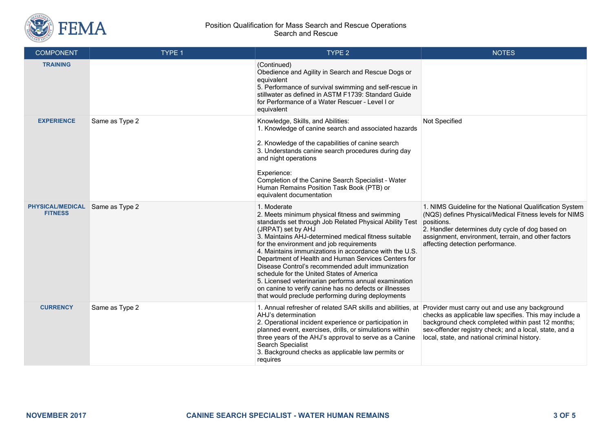

#### Position Qualification for Mass Search and Rescue Operations Search and Rescue

| <b>COMPONENT</b>                          | TYPE 1         | TYPE <sub>2</sub>                                                                                                                                                                                                                                                                                                                                                                                                                                                                                                                                                                                                                           | <b>NOTES</b>                                                                                                                                                                                                                                                                   |
|-------------------------------------------|----------------|---------------------------------------------------------------------------------------------------------------------------------------------------------------------------------------------------------------------------------------------------------------------------------------------------------------------------------------------------------------------------------------------------------------------------------------------------------------------------------------------------------------------------------------------------------------------------------------------------------------------------------------------|--------------------------------------------------------------------------------------------------------------------------------------------------------------------------------------------------------------------------------------------------------------------------------|
| <b>TRAINING</b>                           |                | (Continued)<br>Obedience and Agility in Search and Rescue Dogs or<br>equivalent<br>5. Performance of survival swimming and self-rescue in<br>stillwater as defined in ASTM F1739: Standard Guide<br>for Performance of a Water Rescuer - Level I or<br>equivalent                                                                                                                                                                                                                                                                                                                                                                           |                                                                                                                                                                                                                                                                                |
| <b>EXPERIENCE</b>                         | Same as Type 2 | Knowledge, Skills, and Abilities:<br>1. Knowledge of canine search and associated hazards<br>2. Knowledge of the capabilities of canine search<br>3. Understands canine search procedures during day<br>and night operations<br>Experience:<br>Completion of the Canine Search Specialist - Water<br>Human Remains Position Task Book (PTB) or<br>equivalent documentation                                                                                                                                                                                                                                                                  | Not Specified                                                                                                                                                                                                                                                                  |
| <b>PHYSICAL/MEDICAL</b><br><b>FITNESS</b> | Same as Type 2 | 1. Moderate<br>2. Meets minimum physical fitness and swimming<br>standards set through Job Related Physical Ability Test<br>(JRPAT) set by AHJ<br>3. Maintains AHJ-determined medical fitness suitable<br>for the environment and job requirements<br>4. Maintains immunizations in accordance with the U.S.<br>Department of Health and Human Services Centers for<br>Disease Control's recommended adult immunization<br>schedule for the United States of America<br>5. Licensed veterinarian performs annual examination<br>on canine to verify canine has no defects or illnesses<br>that would preclude performing during deployments | 1. NIMS Guideline for the National Qualification System<br>(NQS) defines Physical/Medical Fitness levels for NIMS<br>positions.<br>2. Handler determines duty cycle of dog based on<br>assignment, environment, terrain, and other factors<br>affecting detection performance. |
| <b>CURRENCY</b>                           | Same as Type 2 | 1. Annual refresher of related SAR skills and abilities, at<br>AHJ's determination<br>2. Operational incident experience or participation in<br>planned event, exercises, drills, or simulations within<br>three years of the AHJ's approval to serve as a Canine<br>Search Specialist<br>3. Background checks as applicable law permits or<br>requires                                                                                                                                                                                                                                                                                     | Provider must carry out and use any background<br>checks as applicable law specifies. This may include a<br>background check completed within past 12 months;<br>sex-offender registry check; and a local, state, and a<br>local, state, and national criminal history.        |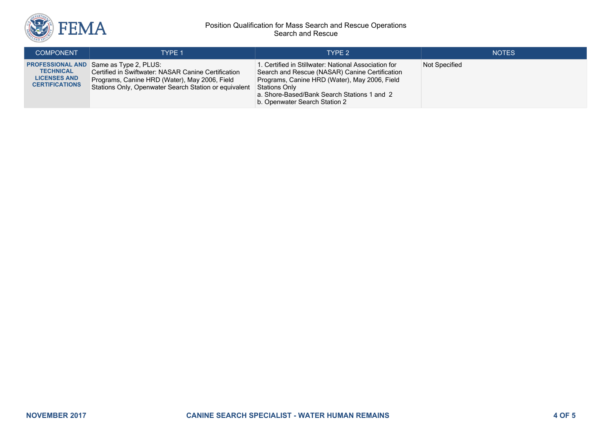

#### Position Qualification for Mass Search and Rescue Operations Search and Rescue

| <b>COMPONENT</b>                                                 | TYPE 1                                                                                                                                                                                                         | TYPE 2                                                                                                                                                                                                                                                   | <b>NOTES</b>  |
|------------------------------------------------------------------|----------------------------------------------------------------------------------------------------------------------------------------------------------------------------------------------------------------|----------------------------------------------------------------------------------------------------------------------------------------------------------------------------------------------------------------------------------------------------------|---------------|
| <b>TECHNICAL</b><br><b>LICENSES AND</b><br><b>CERTIFICATIONS</b> | <b>PROFESSIONAL AND Same as Type 2, PLUS:</b><br>Certified in Swiftwater: NASAR Canine Certification<br>Programs, Canine HRD (Water), May 2006, Field<br>Stations Only, Openwater Search Station or equivalent | 1. Certified in Stillwater: National Association for<br>Search and Rescue (NASAR) Canine Certification<br>Programs, Canine HRD (Water), May 2006, Field<br>Stations Only<br>a. Shore-Based/Bank Search Stations 1 and 2<br>b. Openwater Search Station 2 | Not Specified |